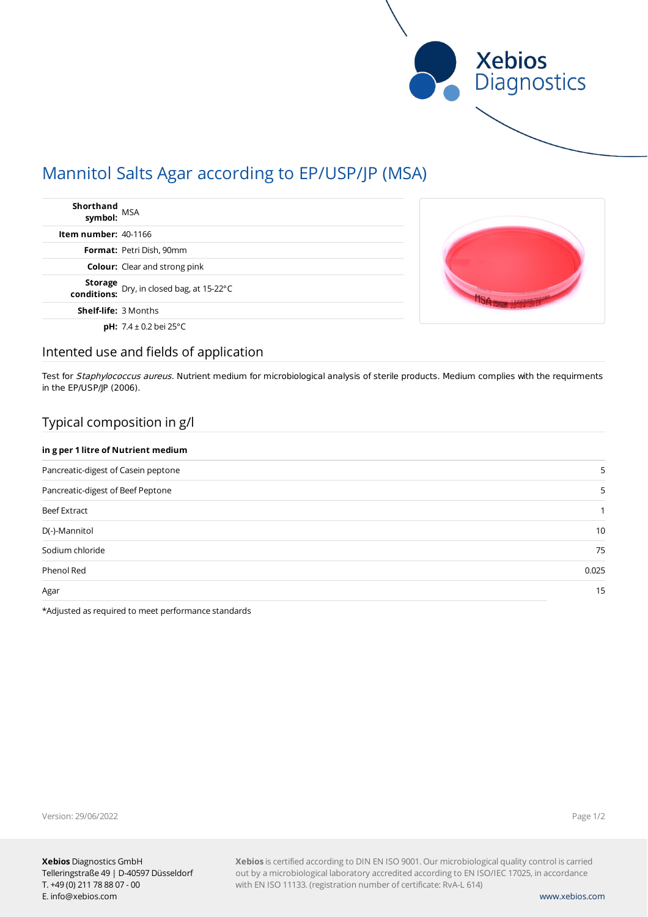

# Mannitol Salts Agar according to EP/USP/JP (MSA)

| Shorthand<br>symbol: MSA                                  |  |
|-----------------------------------------------------------|--|
| <b>Item number: 40-1166</b>                               |  |
| Format: Petri Dish, 90mm                                  |  |
| <b>Colour:</b> Clear and strong pink                      |  |
| <b>Storage</b> Dry, in closed bag, at 15-22°C conditions: |  |
| <b>Shelf-life: 3 Months</b>                               |  |
| <b>pH:</b> 7.4 $\pm$ 0.2 bei 25°C                         |  |

# Intented use and fields of application

Test for Staphylococcus aureus. Nutrient medium for microbiological analysis of sterile products. Medium complies with the requirments in the EP/USP/JP (2006).

# Typical composition in g/l

### **in g per 1 litre of Nutrient medium**

| 5               |
|-----------------|
| 5               |
|                 |
| 10 <sup>°</sup> |
| 75              |
| 0.025           |
| 15              |
|                 |

\*Adjusted as required to meet performance standards

Version: 29/06/2022

Page 1/2

**Xebios** is certified according to DIN EN ISO 9001. Our microbiological quality control is carried out by a microbiological laboratory accredited according to EN ISO/IEC 17025, in accordance with EN ISO 11133. (registration number of certificate: RvA-L 614)